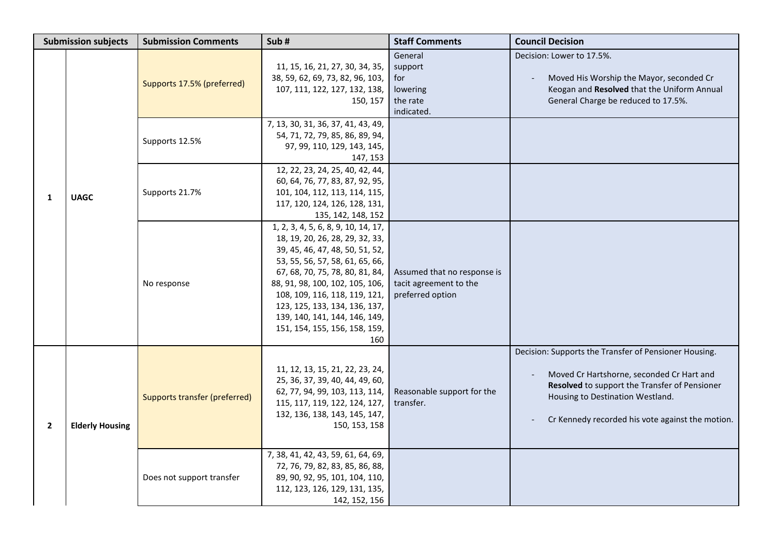| <b>Submission subjects</b> |                        | <b>Submission Comments</b>           | Sub#                                                                                                                                                                                                                                                                                                                                                          | <b>Staff Comments</b>                                                     | <b>Council Decision</b>                                                                                                                                                                                                                     |
|----------------------------|------------------------|--------------------------------------|---------------------------------------------------------------------------------------------------------------------------------------------------------------------------------------------------------------------------------------------------------------------------------------------------------------------------------------------------------------|---------------------------------------------------------------------------|---------------------------------------------------------------------------------------------------------------------------------------------------------------------------------------------------------------------------------------------|
|                            |                        | Supports 17.5% (preferred)           | 11, 15, 16, 21, 27, 30, 34, 35,<br>38, 59, 62, 69, 73, 82, 96, 103,<br>107, 111, 122, 127, 132, 138,<br>150, 157                                                                                                                                                                                                                                              | General<br>support<br>for<br>lowering<br>the rate<br>indicated.           | Decision: Lower to 17.5%.<br>Moved His Worship the Mayor, seconded Cr<br>Keogan and Resolved that the Uniform Annual<br>General Charge be reduced to 17.5%.                                                                                 |
|                            |                        | Supports 12.5%                       | 7, 13, 30, 31, 36, 37, 41, 43, 49,<br>54, 71, 72, 79, 85, 86, 89, 94,<br>97, 99, 110, 129, 143, 145,<br>147, 153                                                                                                                                                                                                                                              |                                                                           |                                                                                                                                                                                                                                             |
| 1                          | <b>UAGC</b>            | Supports 21.7%                       | 12, 22, 23, 24, 25, 40, 42, 44,<br>60, 64, 76, 77, 83, 87, 92, 95,<br>101, 104, 112, 113, 114, 115,<br>117, 120, 124, 126, 128, 131,<br>135, 142, 148, 152                                                                                                                                                                                                    |                                                                           |                                                                                                                                                                                                                                             |
|                            |                        | No response                          | 1, 2, 3, 4, 5, 6, 8, 9, 10, 14, 17,<br>18, 19, 20, 26, 28, 29, 32, 33,<br>39, 45, 46, 47, 48, 50, 51, 52,<br>53, 55, 56, 57, 58, 61, 65, 66,<br>67, 68, 70, 75, 78, 80, 81, 84,<br>88, 91, 98, 100, 102, 105, 106,<br>108, 109, 116, 118, 119, 121,<br>123, 125, 133, 134, 136, 137,<br>139, 140, 141, 144, 146, 149,<br>151, 154, 155, 156, 158, 159,<br>160 | Assumed that no response is<br>tacit agreement to the<br>preferred option |                                                                                                                                                                                                                                             |
| $\overline{2}$             | <b>Elderly Housing</b> | <b>Supports transfer (preferred)</b> | 11, 12, 13, 15, 21, 22, 23, 24,<br>25, 36, 37, 39, 40, 44, 49, 60,<br>62, 77, 94, 99, 103, 113, 114,<br>115, 117, 119, 122, 124, 127,<br>132, 136, 138, 143, 145, 147,<br>150, 153, 158                                                                                                                                                                       | Reasonable support for the<br>transfer.                                   | Decision: Supports the Transfer of Pensioner Housing.<br>Moved Cr Hartshorne, seconded Cr Hart and<br>Resolved to support the Transfer of Pensioner<br>Housing to Destination Westland.<br>Cr Kennedy recorded his vote against the motion. |
|                            |                        | Does not support transfer            | 7, 38, 41, 42, 43, 59, 61, 64, 69,<br>72, 76, 79, 82, 83, 85, 86, 88,<br>89, 90, 92, 95, 101, 104, 110,<br>112, 123, 126, 129, 131, 135,<br>142, 152, 156                                                                                                                                                                                                     |                                                                           |                                                                                                                                                                                                                                             |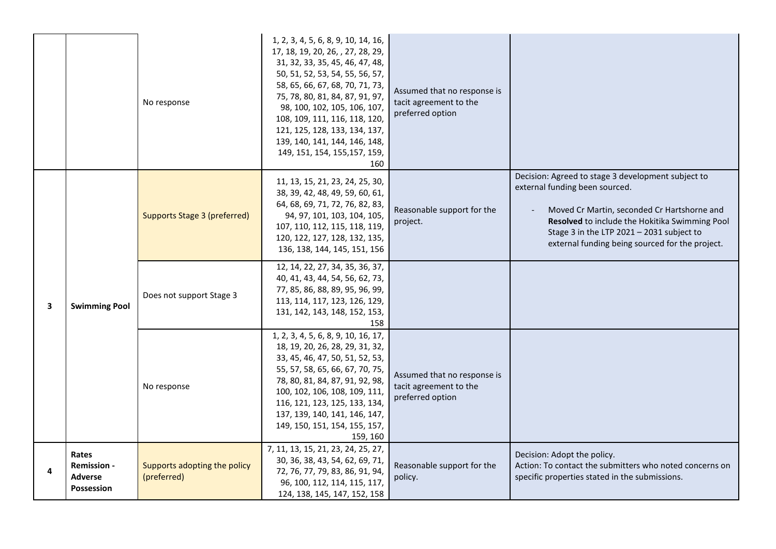|   |                                                                           | No response                                 | 1, 2, 3, 4, 5, 6, 8, 9, 10, 14, 16,<br>17, 18, 19, 20, 26, , 27, 28, 29,<br>31, 32, 33, 35, 45, 46, 47, 48,<br>50, 51, 52, 53, 54, 55, 56, 57,<br>58, 65, 66, 67, 68, 70, 71, 73,<br>75, 78, 80, 81, 84, 87, 91, 97,<br>98, 100, 102, 105, 106, 107,<br>108, 109, 111, 116, 118, 120,<br>121, 125, 128, 133, 134, 137,<br>139, 140, 141, 144, 146, 148,<br>149, 151, 154, 155, 157, 159,<br>160 | Assumed that no response is<br>tacit agreement to the<br>preferred option |                                                                                                                                                                                                                                                                                       |
|---|---------------------------------------------------------------------------|---------------------------------------------|-------------------------------------------------------------------------------------------------------------------------------------------------------------------------------------------------------------------------------------------------------------------------------------------------------------------------------------------------------------------------------------------------|---------------------------------------------------------------------------|---------------------------------------------------------------------------------------------------------------------------------------------------------------------------------------------------------------------------------------------------------------------------------------|
|   | <b>Swimming Pool</b>                                                      | <b>Supports Stage 3 (preferred)</b>         | 11, 13, 15, 21, 23, 24, 25, 30,<br>38, 39, 42, 48, 49, 59, 60, 61,<br>64, 68, 69, 71, 72, 76, 82, 83,<br>94, 97, 101, 103, 104, 105,<br>107, 110, 112, 115, 118, 119,<br>120, 122, 127, 128, 132, 135,<br>136, 138, 144, 145, 151, 156                                                                                                                                                          | Reasonable support for the<br>project.                                    | Decision: Agreed to stage 3 development subject to<br>external funding been sourced.<br>Moved Cr Martin, seconded Cr Hartshorne and<br>Resolved to include the Hokitika Swimming Pool<br>Stage 3 in the LTP 2021 - 2031 subject to<br>external funding being sourced for the project. |
| 3 |                                                                           | Does not support Stage 3                    | 12, 14, 22, 27, 34, 35, 36, 37,<br>40, 41, 43, 44, 54, 56, 62, 73,<br>77, 85, 86, 88, 89, 95, 96, 99,<br>113, 114, 117, 123, 126, 129,<br>131, 142, 143, 148, 152, 153,<br>158                                                                                                                                                                                                                  |                                                                           |                                                                                                                                                                                                                                                                                       |
|   |                                                                           | No response                                 | 1, 2, 3, 4, 5, 6, 8, 9, 10, 16, 17,<br>18, 19, 20, 26, 28, 29, 31, 32,<br>33, 45, 46, 47, 50, 51, 52, 53,<br>55, 57, 58, 65, 66, 67, 70, 75,<br>78, 80, 81, 84, 87, 91, 92, 98,<br>100, 102, 106, 108, 109, 111,<br>116, 121, 123, 125, 133, 134,<br>137, 139, 140, 141, 146, 147,<br>149, 150, 151, 154, 155, 157,<br>159, 160                                                                 | Assumed that no response is<br>tacit agreement to the<br>preferred option |                                                                                                                                                                                                                                                                                       |
| 4 | <b>Rates</b><br><b>Remission -</b><br><b>Adverse</b><br><b>Possession</b> | Supports adopting the policy<br>(preferred) | 7, 11, 13, 15, 21, 23, 24, 25, 27,<br>30, 36, 38, 43, 54, 62, 69, 71,<br>72, 76, 77, 79, 83, 86, 91, 94,<br>96, 100, 112, 114, 115, 117,<br>124, 138, 145, 147, 152, 158                                                                                                                                                                                                                        | Reasonable support for the<br>policy.                                     | Decision: Adopt the policy.<br>Action: To contact the submitters who noted concerns on<br>specific properties stated in the submissions.                                                                                                                                              |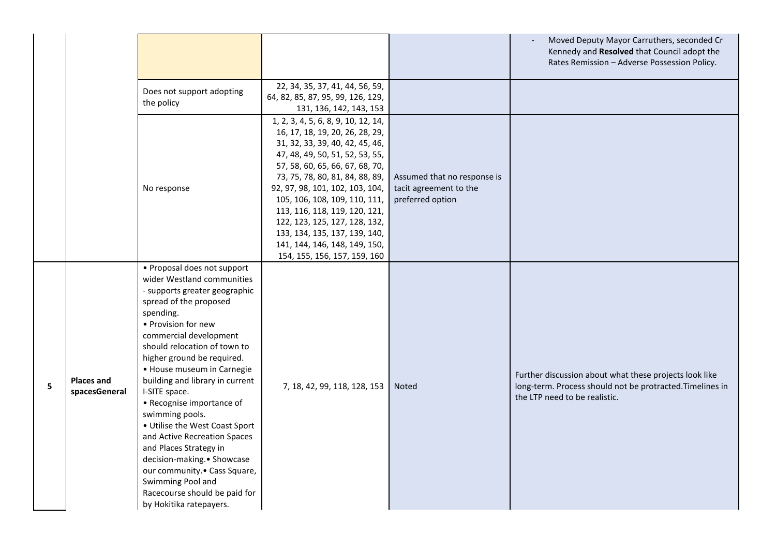|   |                                    |                                                                                                                                                                                                                                                                                                                                                                                                                                                                                                                                                                                                                                 |                                                                                                                                                                                                                                                                                                                                                                                                                                                            |                                                                           | Moved Deputy Mayor Carruthers, seconded Cr<br>Kennedy and Resolved that Council adopt the                                                            |
|---|------------------------------------|---------------------------------------------------------------------------------------------------------------------------------------------------------------------------------------------------------------------------------------------------------------------------------------------------------------------------------------------------------------------------------------------------------------------------------------------------------------------------------------------------------------------------------------------------------------------------------------------------------------------------------|------------------------------------------------------------------------------------------------------------------------------------------------------------------------------------------------------------------------------------------------------------------------------------------------------------------------------------------------------------------------------------------------------------------------------------------------------------|---------------------------------------------------------------------------|------------------------------------------------------------------------------------------------------------------------------------------------------|
|   |                                    |                                                                                                                                                                                                                                                                                                                                                                                                                                                                                                                                                                                                                                 |                                                                                                                                                                                                                                                                                                                                                                                                                                                            |                                                                           | Rates Remission - Adverse Possession Policy.                                                                                                         |
|   |                                    | Does not support adopting<br>the policy                                                                                                                                                                                                                                                                                                                                                                                                                                                                                                                                                                                         | 22, 34, 35, 37, 41, 44, 56, 59,<br>64, 82, 85, 87, 95, 99, 126, 129,<br>131, 136, 142, 143, 153                                                                                                                                                                                                                                                                                                                                                            |                                                                           |                                                                                                                                                      |
|   |                                    | No response                                                                                                                                                                                                                                                                                                                                                                                                                                                                                                                                                                                                                     | 1, 2, 3, 4, 5, 6, 8, 9, 10, 12, 14,<br>16, 17, 18, 19, 20, 26, 28, 29,<br>31, 32, 33, 39, 40, 42, 45, 46,<br>47, 48, 49, 50, 51, 52, 53, 55,<br>57, 58, 60, 65, 66, 67, 68, 70,<br>73, 75, 78, 80, 81, 84, 88, 89,<br>92, 97, 98, 101, 102, 103, 104,<br>105, 106, 108, 109, 110, 111,<br>113, 116, 118, 119, 120, 121,<br>122, 123, 125, 127, 128, 132,<br>133, 134, 135, 137, 139, 140,<br>141, 144, 146, 148, 149, 150,<br>154, 155, 156, 157, 159, 160 | Assumed that no response is<br>tacit agreement to the<br>preferred option |                                                                                                                                                      |
| 5 | <b>Places and</b><br>spacesGeneral | • Proposal does not support<br>wider Westland communities<br>- supports greater geographic<br>spread of the proposed<br>spending.<br>• Provision for new<br>commercial development<br>should relocation of town to<br>higher ground be required.<br>• House museum in Carnegie<br>building and library in current<br>I-SITE space.<br>• Recognise importance of<br>swimming pools.<br>• Utilise the West Coast Sport<br>and Active Recreation Spaces<br>and Places Strategy in<br>decision-making. • Showcase<br>our community. • Cass Square,<br>Swimming Pool and<br>Racecourse should be paid for<br>by Hokitika ratepayers. | 7, 18, 42, 99, 118, 128, 153                                                                                                                                                                                                                                                                                                                                                                                                                               | <b>Noted</b>                                                              | Further discussion about what these projects look like<br>long-term. Process should not be protracted. Timelines in<br>the LTP need to be realistic. |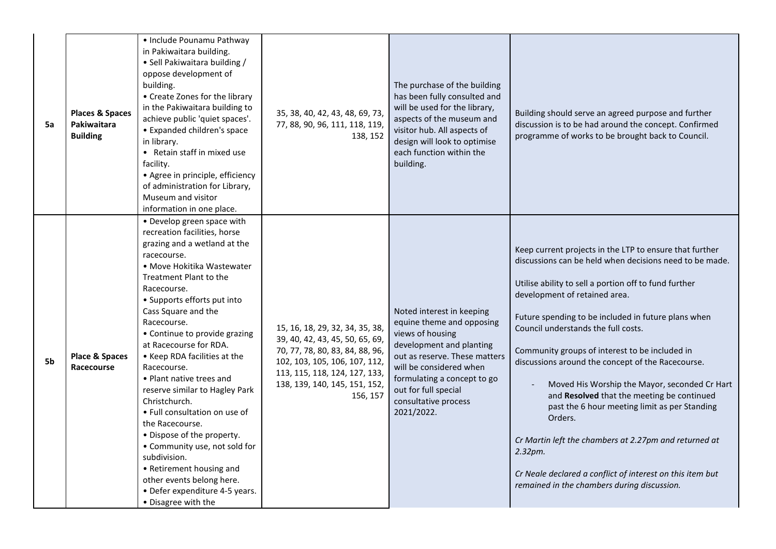| 5a | <b>Places &amp; Spaces</b><br>Pakiwaitara<br><b>Building</b> | • Include Pounamu Pathway<br>in Pakiwaitara building.<br>• Sell Pakiwaitara building /<br>oppose development of<br>building.<br>• Create Zones for the library<br>in the Pakiwaitara building to<br>achieve public 'quiet spaces'.<br>• Expanded children's space<br>in library.<br>• Retain staff in mixed use<br>facility.<br>• Agree in principle, efficiency<br>of administration for Library,<br>Museum and visitor<br>information in one place.                                                                                                                                                                                                                                               | 35, 38, 40, 42, 43, 48, 69, 73,<br>77, 88, 90, 96, 111, 118, 119,<br>138, 152                                                                                                                                        | The purchase of the building<br>has been fully consulted and<br>will be used for the library,<br>aspects of the museum and<br>visitor hub. All aspects of<br>design will look to optimise<br>each function within the<br>building.                              | Building should serve an agreed purpose and further<br>discussion is to be had around the concept. Confirmed<br>programme of works to be brought back to Council.                                                                                                                                                                                                                                                                                                                                                                                                                                                                                                                                                                                            |
|----|--------------------------------------------------------------|-----------------------------------------------------------------------------------------------------------------------------------------------------------------------------------------------------------------------------------------------------------------------------------------------------------------------------------------------------------------------------------------------------------------------------------------------------------------------------------------------------------------------------------------------------------------------------------------------------------------------------------------------------------------------------------------------------|----------------------------------------------------------------------------------------------------------------------------------------------------------------------------------------------------------------------|-----------------------------------------------------------------------------------------------------------------------------------------------------------------------------------------------------------------------------------------------------------------|--------------------------------------------------------------------------------------------------------------------------------------------------------------------------------------------------------------------------------------------------------------------------------------------------------------------------------------------------------------------------------------------------------------------------------------------------------------------------------------------------------------------------------------------------------------------------------------------------------------------------------------------------------------------------------------------------------------------------------------------------------------|
| 5b | Place & Spaces<br><b>Racecourse</b>                          | • Develop green space with<br>recreation facilities, horse<br>grazing and a wetland at the<br>racecourse.<br>• Move Hokitika Wastewater<br>Treatment Plant to the<br>Racecourse.<br>• Supports efforts put into<br>Cass Square and the<br>Racecourse.<br>• Continue to provide grazing<br>at Racecourse for RDA.<br>• Keep RDA facilities at the<br>Racecourse.<br>• Plant native trees and<br>reserve similar to Hagley Park<br>Christchurch.<br>• Full consultation on use of<br>the Racecourse.<br>• Dispose of the property.<br>• Community use, not sold for<br>subdivision.<br>• Retirement housing and<br>other events belong here.<br>• Defer expenditure 4-5 years.<br>• Disagree with the | 15, 16, 18, 29, 32, 34, 35, 38,<br>39, 40, 42, 43, 45, 50, 65, 69,<br>70, 77, 78, 80, 83, 84, 88, 96,<br>102, 103, 105, 106, 107, 112,<br>113, 115, 118, 124, 127, 133,<br>138, 139, 140, 145, 151, 152,<br>156, 157 | Noted interest in keeping<br>equine theme and opposing<br>views of housing<br>development and planting<br>out as reserve. These matters<br>will be considered when<br>formulating a concept to go<br>out for full special<br>consultative process<br>2021/2022. | Keep current projects in the LTP to ensure that further<br>discussions can be held when decisions need to be made.<br>Utilise ability to sell a portion off to fund further<br>development of retained area.<br>Future spending to be included in future plans when<br>Council understands the full costs.<br>Community groups of interest to be included in<br>discussions around the concept of the Racecourse.<br>Moved His Worship the Mayor, seconded Cr Hart<br>and Resolved that the meeting be continued<br>past the 6 hour meeting limit as per Standing<br>Orders.<br>Cr Martin left the chambers at 2.27pm and returned at<br>2.32pm.<br>Cr Neale declared a conflict of interest on this item but<br>remained in the chambers during discussion. |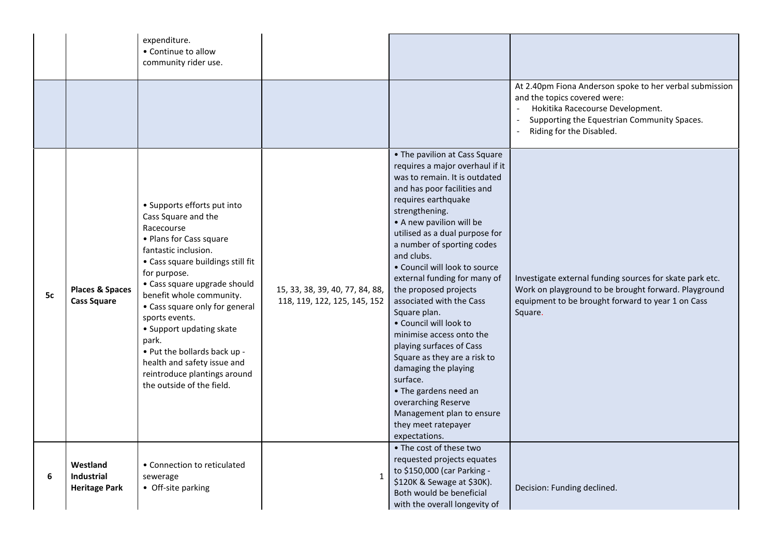|    |                                                       | expenditure.<br>• Continue to allow<br>community rider use.                                                                                                                                                                                                                                                                                                                                                                                               |                                                                 |                                                                                                                                                                                                                                                                                                                                                                                                                                                                                                                                                                                                                                                                                                      |                                                                                                                                                                                                        |
|----|-------------------------------------------------------|-----------------------------------------------------------------------------------------------------------------------------------------------------------------------------------------------------------------------------------------------------------------------------------------------------------------------------------------------------------------------------------------------------------------------------------------------------------|-----------------------------------------------------------------|------------------------------------------------------------------------------------------------------------------------------------------------------------------------------------------------------------------------------------------------------------------------------------------------------------------------------------------------------------------------------------------------------------------------------------------------------------------------------------------------------------------------------------------------------------------------------------------------------------------------------------------------------------------------------------------------------|--------------------------------------------------------------------------------------------------------------------------------------------------------------------------------------------------------|
|    |                                                       |                                                                                                                                                                                                                                                                                                                                                                                                                                                           |                                                                 |                                                                                                                                                                                                                                                                                                                                                                                                                                                                                                                                                                                                                                                                                                      | At 2.40pm Fiona Anderson spoke to her verbal submission<br>and the topics covered were:<br>Hokitika Racecourse Development.<br>Supporting the Equestrian Community Spaces.<br>Riding for the Disabled. |
| 5c | <b>Places &amp; Spaces</b><br><b>Cass Square</b>      | • Supports efforts put into<br>Cass Square and the<br>Racecourse<br>• Plans for Cass square<br>fantastic inclusion.<br>• Cass square buildings still fit<br>for purpose.<br>• Cass square upgrade should<br>benefit whole community.<br>• Cass square only for general<br>sports events.<br>• Support updating skate<br>park.<br>. Put the bollards back up -<br>health and safety issue and<br>reintroduce plantings around<br>the outside of the field. | 15, 33, 38, 39, 40, 77, 84, 88,<br>118, 119, 122, 125, 145, 152 | • The pavilion at Cass Square<br>requires a major overhaul if it<br>was to remain. It is outdated<br>and has poor facilities and<br>requires earthquake<br>strengthening.<br>• A new pavilion will be<br>utilised as a dual purpose for<br>a number of sporting codes<br>and clubs.<br>• Council will look to source<br>external funding for many of<br>the proposed projects<br>associated with the Cass<br>Square plan.<br>• Council will look to<br>minimise access onto the<br>playing surfaces of Cass<br>Square as they are a risk to<br>damaging the playing<br>surface.<br>• The gardens need an<br>overarching Reserve<br>Management plan to ensure<br>they meet ratepayer<br>expectations. | Investigate external funding sources for skate park etc.<br>Work on playground to be brought forward. Playground<br>equipment to be brought forward to year 1 on Cass<br>Square.                       |
| 6  | Westland<br><b>Industrial</b><br><b>Heritage Park</b> | • Connection to reticulated<br>sewerage<br>• Off-site parking                                                                                                                                                                                                                                                                                                                                                                                             | 1                                                               | • The cost of these two<br>requested projects equates<br>to \$150,000 (car Parking -<br>\$120K & Sewage at \$30K).<br>Both would be beneficial<br>with the overall longevity of                                                                                                                                                                                                                                                                                                                                                                                                                                                                                                                      | Decision: Funding declined.                                                                                                                                                                            |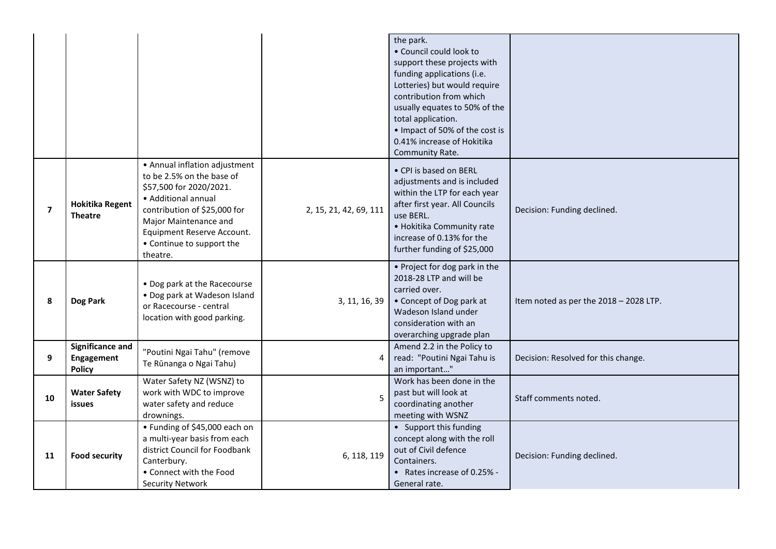|                |                                                 |                                                                                                                                                                                                                                              |                        | the park.<br>· Council could look to<br>support these projects with<br>funding applications (i.e.<br>Lotteries) but would require<br>contribution from which<br>usually equates to 50% of the<br>total application.<br>• Impact of 50% of the cost is<br>0.41% increase of Hokitika<br>Community Rate. |                                        |
|----------------|-------------------------------------------------|----------------------------------------------------------------------------------------------------------------------------------------------------------------------------------------------------------------------------------------------|------------------------|--------------------------------------------------------------------------------------------------------------------------------------------------------------------------------------------------------------------------------------------------------------------------------------------------------|----------------------------------------|
| $\overline{7}$ | <b>Hokitika Regent</b><br><b>Theatre</b>        | • Annual inflation adjustment<br>to be 2.5% on the base of<br>\$57,500 for 2020/2021.<br>• Additional annual<br>contribution of \$25,000 for<br>Major Maintenance and<br>Equipment Reserve Account.<br>• Continue to support the<br>theatre. | 2, 15, 21, 42, 69, 111 | • CPI is based on BERL<br>adjustments and is included<br>within the LTP for each year<br>after first year. All Councils<br>use BERL.<br>• Hokitika Community rate<br>increase of 0.13% for the<br>further funding of \$25,000                                                                          | Decision: Funding declined.            |
| 8              | Dog Park                                        | • Dog park at the Racecourse<br>• Dog park at Wadeson Island<br>or Racecourse - central<br>location with good parking.                                                                                                                       | 3, 11, 16, 39          | • Project for dog park in the<br>2018-28 LTP and will be<br>carried over.<br>• Concept of Dog park at<br>Wadeson Island under<br>consideration with an<br>overarching upgrade plan                                                                                                                     | Item noted as per the 2018 - 2028 LTP. |
| 9              | Significance and<br>Engagement<br><b>Policy</b> | "Poutini Ngai Tahu" (remove<br>Te Rūnanga o Ngai Tahu)                                                                                                                                                                                       | 4                      | Amend 2.2 in the Policy to<br>read: "Poutini Ngai Tahu is<br>an important"                                                                                                                                                                                                                             | Decision: Resolved for this change.    |
| 10             | <b>Water Safety</b><br>issues                   | Water Safety NZ (WSNZ) to<br>work with WDC to improve<br>water safety and reduce<br>drownings.                                                                                                                                               | 5                      | Work has been done in the<br>past but will look at<br>coordinating another<br>meeting with WSNZ                                                                                                                                                                                                        | Staff comments noted.                  |
| 11             | <b>Food security</b>                            | • Funding of \$45,000 each on<br>a multi-year basis from each<br>district Council for Foodbank<br>Canterbury.<br>• Connect with the Food<br><b>Security Network</b>                                                                          | 6, 118, 119            | • Support this funding<br>concept along with the roll<br>out of Civil defence<br>Containers.<br>• Rates increase of 0.25% -<br>General rate.                                                                                                                                                           | Decision: Funding declined.            |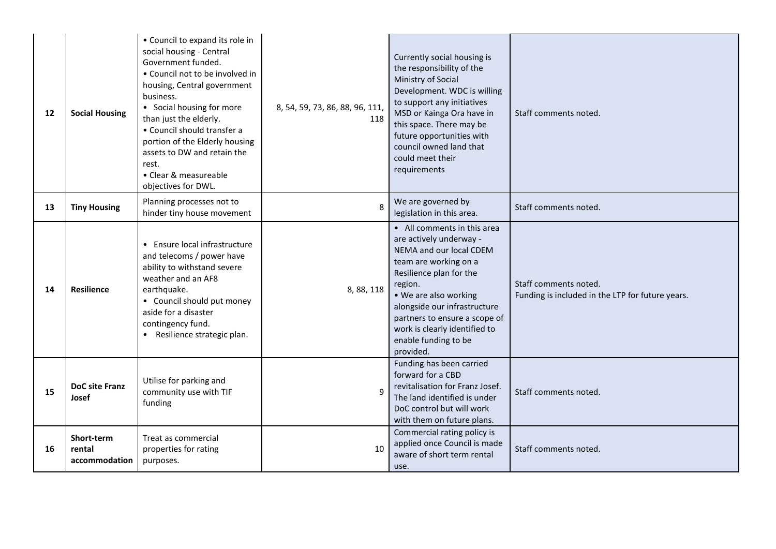| 12 | <b>Social Housing</b>                 | • Council to expand its role in<br>social housing - Central<br>Government funded.<br>• Council not to be involved in<br>housing, Central government<br>business.<br>• Social housing for more<br>than just the elderly.<br>• Council should transfer a<br>portion of the Elderly housing<br>assets to DW and retain the<br>rest.<br>• Clear & measureable<br>objectives for DWL. | 8, 54, 59, 73, 86, 88, 96, 111,<br>118 | Currently social housing is<br>the responsibility of the<br>Ministry of Social<br>Development. WDC is willing<br>to support any initiatives<br>MSD or Kainga Ora have in<br>this space. There may be<br>future opportunities with<br>council owned land that<br>could meet their<br>requirements                 | Staff comments noted.                                                     |
|----|---------------------------------------|----------------------------------------------------------------------------------------------------------------------------------------------------------------------------------------------------------------------------------------------------------------------------------------------------------------------------------------------------------------------------------|----------------------------------------|------------------------------------------------------------------------------------------------------------------------------------------------------------------------------------------------------------------------------------------------------------------------------------------------------------------|---------------------------------------------------------------------------|
| 13 | <b>Tiny Housing</b>                   | Planning processes not to<br>hinder tiny house movement                                                                                                                                                                                                                                                                                                                          | 8                                      | We are governed by<br>legislation in this area.                                                                                                                                                                                                                                                                  | Staff comments noted.                                                     |
| 14 | <b>Resilience</b>                     | • Ensure local infrastructure<br>and telecoms / power have<br>ability to withstand severe<br>weather and an AF8<br>earthquake.<br>• Council should put money<br>aside for a disaster<br>contingency fund.<br>• Resilience strategic plan.                                                                                                                                        | 8, 88, 118                             | • All comments in this area<br>are actively underway -<br>NEMA and our local CDEM<br>team are working on a<br>Resilience plan for the<br>region.<br>• We are also working<br>alongside our infrastructure<br>partners to ensure a scope of<br>work is clearly identified to<br>enable funding to be<br>provided. | Staff comments noted.<br>Funding is included in the LTP for future years. |
| 15 | DoC site Franz<br>Josef               | Utilise for parking and<br>community use with TIF<br>funding                                                                                                                                                                                                                                                                                                                     |                                        | Funding has been carried<br>forward for a CBD<br>revitalisation for Franz Josef.<br>The land identified is under<br>DoC control but will work<br>with them on future plans.                                                                                                                                      | Staff comments noted.                                                     |
| 16 | Short-term<br>rental<br>accommodation | Treat as commercial<br>properties for rating<br>purposes.                                                                                                                                                                                                                                                                                                                        | 10                                     | Commercial rating policy is<br>applied once Council is made<br>aware of short term rental<br>use.                                                                                                                                                                                                                | Staff comments noted.                                                     |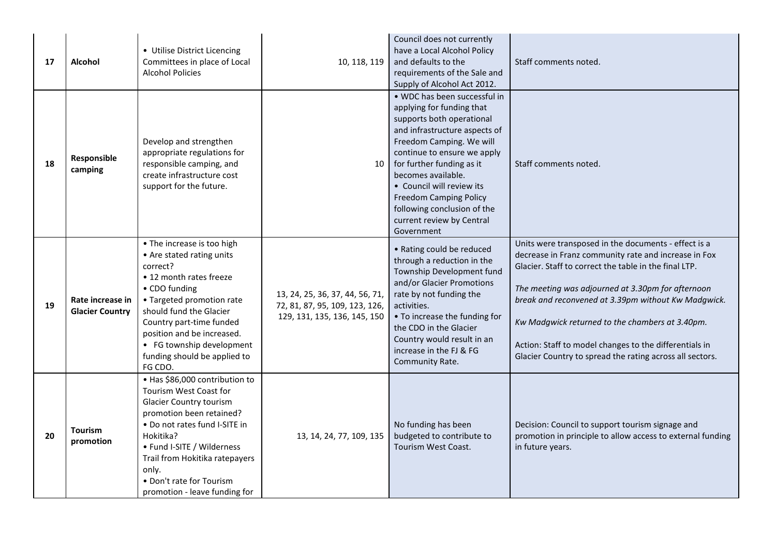| 17 | <b>Alcohol</b>                             | • Utilise District Licencing<br>Committees in place of Local<br><b>Alcohol Policies</b>                                                                                                                                                                                                                    | 10, 118, 119                                                                                      | Council does not currently<br>have a Local Alcohol Policy<br>and defaults to the<br>requirements of the Sale and<br>Supply of Alcohol Act 2012.                                                                                                                                                                                                                               | Staff comments noted.                                                                                                                                                                                                                                                                                                                                                                                                                                      |
|----|--------------------------------------------|------------------------------------------------------------------------------------------------------------------------------------------------------------------------------------------------------------------------------------------------------------------------------------------------------------|---------------------------------------------------------------------------------------------------|-------------------------------------------------------------------------------------------------------------------------------------------------------------------------------------------------------------------------------------------------------------------------------------------------------------------------------------------------------------------------------|------------------------------------------------------------------------------------------------------------------------------------------------------------------------------------------------------------------------------------------------------------------------------------------------------------------------------------------------------------------------------------------------------------------------------------------------------------|
| 18 | Responsible<br>camping                     | Develop and strengthen<br>appropriate regulations for<br>responsible camping, and<br>create infrastructure cost<br>support for the future.                                                                                                                                                                 | 10                                                                                                | . WDC has been successful in<br>applying for funding that<br>supports both operational<br>and infrastructure aspects of<br>Freedom Camping. We will<br>continue to ensure we apply<br>for further funding as it<br>becomes available.<br>• Council will review its<br><b>Freedom Camping Policy</b><br>following conclusion of the<br>current review by Central<br>Government | Staff comments noted.                                                                                                                                                                                                                                                                                                                                                                                                                                      |
| 19 | Rate increase in<br><b>Glacier Country</b> | • The increase is too high<br>• Are stated rating units<br>correct?<br>• 12 month rates freeze<br>• CDO funding<br>• Targeted promotion rate<br>should fund the Glacier<br>Country part-time funded<br>position and be increased.<br>• FG township development<br>funding should be applied to<br>FG CDO.  | 13, 24, 25, 36, 37, 44, 56, 71,<br>72, 81, 87, 95, 109, 123, 126,<br>129, 131, 135, 136, 145, 150 | • Rating could be reduced<br>through a reduction in the<br>Township Development fund<br>and/or Glacier Promotions<br>rate by not funding the<br>activities.<br>• To increase the funding for<br>the CDO in the Glacier<br>Country would result in an<br>increase in the FJ & FG<br>Community Rate.                                                                            | Units were transposed in the documents - effect is a<br>decrease in Franz community rate and increase in Fox<br>Glacier. Staff to correct the table in the final LTP.<br>The meeting was adjourned at 3.30pm for afternoon<br>break and reconvened at 3.39pm without Kw Madgwick.<br>Kw Madgwick returned to the chambers at 3.40pm.<br>Action: Staff to model changes to the differentials in<br>Glacier Country to spread the rating across all sectors. |
| 20 | <b>Tourism</b><br>promotion                | · Has \$86,000 contribution to<br>Tourism West Coast for<br><b>Glacier Country tourism</b><br>promotion been retained?<br>• Do not rates fund I-SITE in<br>Hokitika?<br>• Fund I-SITE / Wilderness<br>Trail from Hokitika ratepayers<br>only.<br>. Don't rate for Tourism<br>promotion - leave funding for | 13, 14, 24, 77, 109, 135                                                                          | No funding has been<br>budgeted to contribute to<br><b>Tourism West Coast.</b>                                                                                                                                                                                                                                                                                                | Decision: Council to support tourism signage and<br>promotion in principle to allow access to external funding<br>in future years.                                                                                                                                                                                                                                                                                                                         |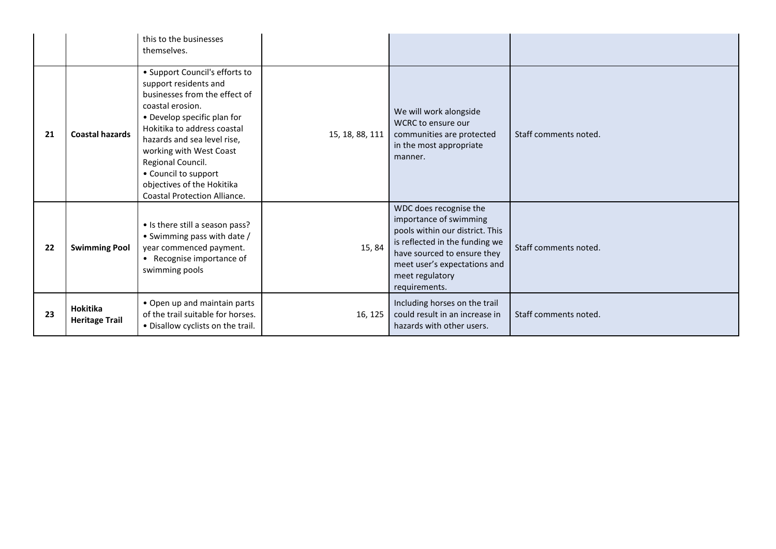|    |                                   | this to the businesses<br>themselves.                                                                                                                                                                                                                                                                                                                  |                 |                                                                                                                                                                                                                          |                       |
|----|-----------------------------------|--------------------------------------------------------------------------------------------------------------------------------------------------------------------------------------------------------------------------------------------------------------------------------------------------------------------------------------------------------|-----------------|--------------------------------------------------------------------------------------------------------------------------------------------------------------------------------------------------------------------------|-----------------------|
| 21 | <b>Coastal hazards</b>            | • Support Council's efforts to<br>support residents and<br>businesses from the effect of<br>coastal erosion.<br>• Develop specific plan for<br>Hokitika to address coastal<br>hazards and sea level rise,<br>working with West Coast<br>Regional Council.<br>• Council to support<br>objectives of the Hokitika<br><b>Coastal Protection Alliance.</b> | 15, 18, 88, 111 | We will work alongside<br><b>WCRC</b> to ensure our<br>communities are protected<br>in the most appropriate<br>manner.                                                                                                   | Staff comments noted. |
| 22 | <b>Swimming Pool</b>              | • Is there still a season pass?<br>• Swimming pass with date /<br>year commenced payment.<br>• Recognise importance of<br>swimming pools                                                                                                                                                                                                               | 15,84           | WDC does recognise the<br>importance of swimming<br>pools within our district. This<br>is reflected in the funding we<br>have sourced to ensure they<br>meet user's expectations and<br>meet regulatory<br>requirements. | Staff comments noted. |
| 23 | Hokitika<br><b>Heritage Trail</b> | • Open up and maintain parts<br>of the trail suitable for horses.<br>• Disallow cyclists on the trail.                                                                                                                                                                                                                                                 | 16, 125         | Including horses on the trail<br>could result in an increase in<br>hazards with other users.                                                                                                                             | Staff comments noted. |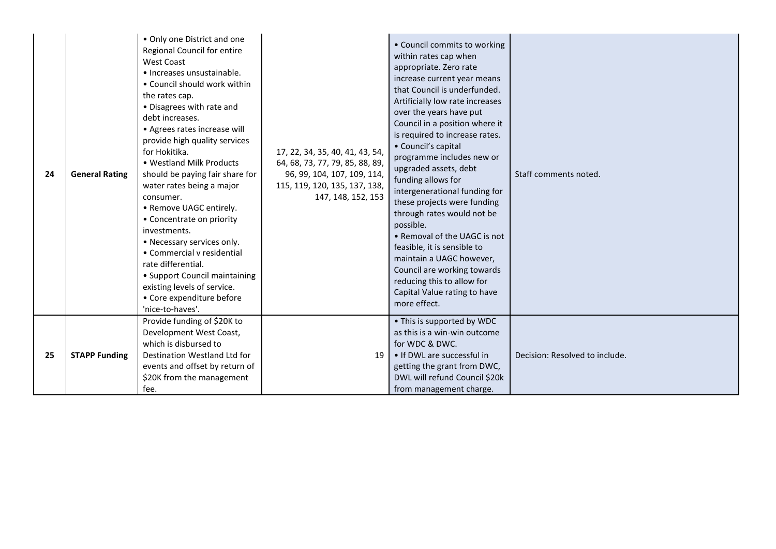| 24 | <b>General Rating</b> | • Only one District and one<br>Regional Council for entire<br>West Coast<br>· Increases unsustainable.<br>• Council should work within<br>the rates cap.<br>• Disagrees with rate and<br>debt increases.<br>• Agrees rates increase will<br>provide high quality services<br>for Hokitika.<br>• Westland Milk Products<br>should be paying fair share for<br>water rates being a major<br>consumer.<br>• Remove UAGC entirely.<br>• Concentrate on priority<br>investments.<br>• Necessary services only.<br>• Commercial v residential<br>rate differential.<br>• Support Council maintaining<br>existing levels of service.<br>• Core expenditure before<br>'nice-to-haves'. | 17, 22, 34, 35, 40, 41, 43, 54,<br>64, 68, 73, 77, 79, 85, 88, 89,<br>96, 99, 104, 107, 109, 114,<br>115, 119, 120, 135, 137, 138,<br>147, 148, 152, 153 | • Council commits to working<br>within rates cap when<br>appropriate. Zero rate<br>increase current year means<br>that Council is underfunded.<br>Artificially low rate increases<br>over the years have put<br>Council in a position where it<br>is required to increase rates.<br>• Council's capital<br>programme includes new or<br>upgraded assets, debt<br>funding allows for<br>intergenerational funding for<br>these projects were funding<br>through rates would not be<br>possible.<br>• Removal of the UAGC is not<br>feasible, it is sensible to<br>maintain a UAGC however,<br>Council are working towards<br>reducing this to allow for<br>Capital Value rating to have<br>more effect. | Staff comments noted.          |
|----|-----------------------|--------------------------------------------------------------------------------------------------------------------------------------------------------------------------------------------------------------------------------------------------------------------------------------------------------------------------------------------------------------------------------------------------------------------------------------------------------------------------------------------------------------------------------------------------------------------------------------------------------------------------------------------------------------------------------|----------------------------------------------------------------------------------------------------------------------------------------------------------|--------------------------------------------------------------------------------------------------------------------------------------------------------------------------------------------------------------------------------------------------------------------------------------------------------------------------------------------------------------------------------------------------------------------------------------------------------------------------------------------------------------------------------------------------------------------------------------------------------------------------------------------------------------------------------------------------------|--------------------------------|
| 25 | <b>STAPP Funding</b>  | Provide funding of \$20K to<br>Development West Coast,<br>which is disbursed to<br>Destination Westland Ltd for<br>events and offset by return of<br>\$20K from the management<br>fee.                                                                                                                                                                                                                                                                                                                                                                                                                                                                                         | 19                                                                                                                                                       | • This is supported by WDC<br>as this is a win-win outcome<br>for WDC & DWC.<br>• If DWL are successful in<br>getting the grant from DWC,<br>DWL will refund Council \$20k<br>from management charge.                                                                                                                                                                                                                                                                                                                                                                                                                                                                                                  | Decision: Resolved to include. |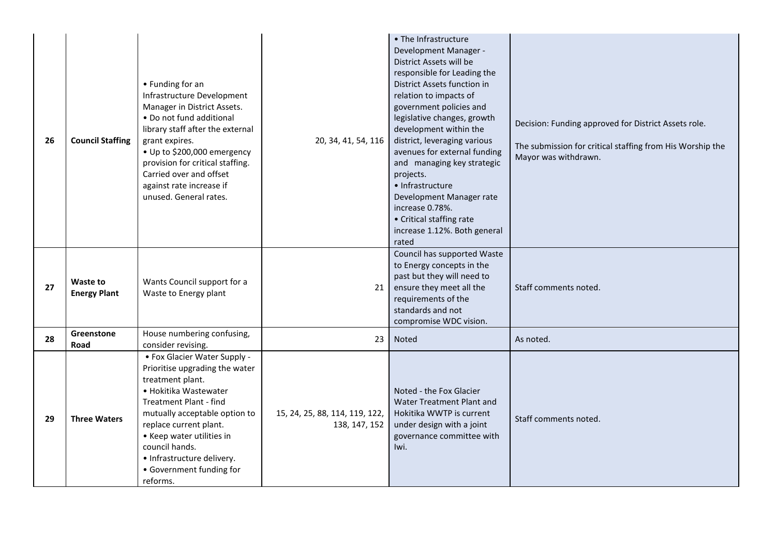| 26 | <b>Council Staffing</b>         | • Funding for an<br>Infrastructure Development<br>Manager in District Assets.<br>• Do not fund additional<br>library staff after the external<br>grant expires.<br>• Up to \$200,000 emergency<br>provision for critical staffing.<br>Carried over and offset<br>against rate increase if<br>unused. General rates.          | 20, 34, 41, 54, 116                             | • The Infrastructure<br>Development Manager -<br>District Assets will be<br>responsible for Leading the<br>District Assets function in<br>relation to impacts of<br>government policies and<br>legislative changes, growth<br>development within the<br>district, leveraging various<br>avenues for external funding<br>and managing key strategic<br>projects.<br>· Infrastructure<br>Development Manager rate<br>increase 0.78%.<br>• Critical staffing rate<br>increase 1.12%. Both general<br>rated | Decision: Funding approved for District Assets role.<br>The submission for critical staffing from His Worship the<br>Mayor was withdrawn. |
|----|---------------------------------|------------------------------------------------------------------------------------------------------------------------------------------------------------------------------------------------------------------------------------------------------------------------------------------------------------------------------|-------------------------------------------------|---------------------------------------------------------------------------------------------------------------------------------------------------------------------------------------------------------------------------------------------------------------------------------------------------------------------------------------------------------------------------------------------------------------------------------------------------------------------------------------------------------|-------------------------------------------------------------------------------------------------------------------------------------------|
| 27 | Waste to<br><b>Energy Plant</b> | Wants Council support for a<br>Waste to Energy plant                                                                                                                                                                                                                                                                         | 21                                              | Council has supported Waste<br>to Energy concepts in the<br>past but they will need to<br>ensure they meet all the<br>requirements of the<br>standards and not<br>compromise WDC vision.                                                                                                                                                                                                                                                                                                                | Staff comments noted.                                                                                                                     |
| 28 | Greenstone<br>Road              | House numbering confusing,<br>consider revising.                                                                                                                                                                                                                                                                             | 23                                              | Noted                                                                                                                                                                                                                                                                                                                                                                                                                                                                                                   | As noted.                                                                                                                                 |
| 29 | <b>Three Waters</b>             | • Fox Glacier Water Supply -<br>Prioritise upgrading the water<br>treatment plant.<br>· Hokitika Wastewater<br><b>Treatment Plant - find</b><br>mutually acceptable option to<br>replace current plant.<br>• Keep water utilities in<br>council hands.<br>• Infrastructure delivery.<br>• Government funding for<br>reforms. | 15, 24, 25, 88, 114, 119, 122,<br>138, 147, 152 | Noted - the Fox Glacier<br>Water Treatment Plant and<br>Hokitika WWTP is current<br>under design with a joint<br>governance committee with<br>Iwi.                                                                                                                                                                                                                                                                                                                                                      | Staff comments noted.                                                                                                                     |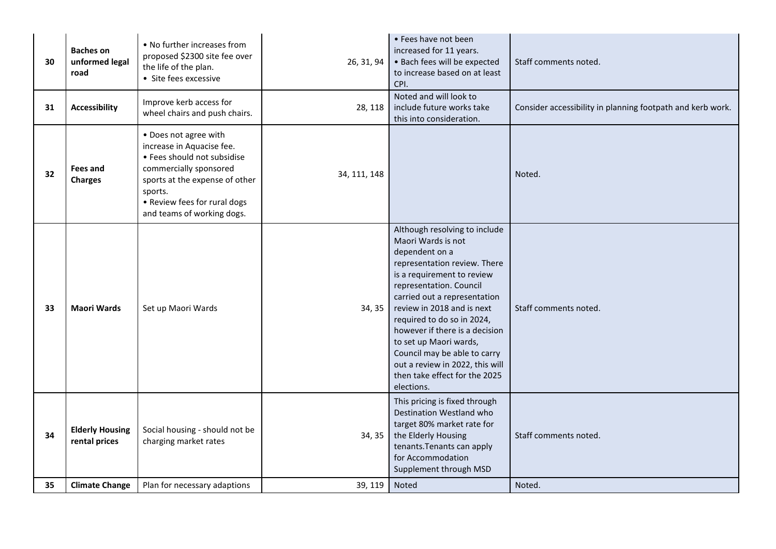| 30 | <b>Baches on</b><br>unformed legal<br>road | • No further increases from<br>proposed \$2300 site fee over<br>the life of the plan.<br>• Site fees excessive                                                                                                         | 26, 31, 94   | • Fees have not been<br>increased for 11 years.<br>· Bach fees will be expected<br>to increase based on at least<br>CPI.                                                                                                                                                                                                                                                                                                                 | Staff comments noted.                                      |
|----|--------------------------------------------|------------------------------------------------------------------------------------------------------------------------------------------------------------------------------------------------------------------------|--------------|------------------------------------------------------------------------------------------------------------------------------------------------------------------------------------------------------------------------------------------------------------------------------------------------------------------------------------------------------------------------------------------------------------------------------------------|------------------------------------------------------------|
| 31 | <b>Accessibility</b>                       | Improve kerb access for<br>wheel chairs and push chairs.                                                                                                                                                               | 28, 118      | Noted and will look to<br>include future works take<br>this into consideration.                                                                                                                                                                                                                                                                                                                                                          | Consider accessibility in planning footpath and kerb work. |
| 32 | <b>Fees and</b><br><b>Charges</b>          | • Does not agree with<br>increase in Aquacise fee.<br>• Fees should not subsidise<br>commercially sponsored<br>sports at the expense of other<br>sports.<br>• Review fees for rural dogs<br>and teams of working dogs. | 34, 111, 148 |                                                                                                                                                                                                                                                                                                                                                                                                                                          | Noted.                                                     |
| 33 | <b>Maori Wards</b>                         | Set up Maori Wards                                                                                                                                                                                                     | 34, 35       | Although resolving to include<br>Maori Wards is not<br>dependent on a<br>representation review. There<br>is a requirement to review<br>representation. Council<br>carried out a representation<br>review in 2018 and is next<br>required to do so in 2024,<br>however if there is a decision<br>to set up Maori wards,<br>Council may be able to carry<br>out a review in 2022, this will<br>then take effect for the 2025<br>elections. | Staff comments noted.                                      |
| 34 | <b>Elderly Housing</b><br>rental prices    | Social housing - should not be<br>charging market rates                                                                                                                                                                | 34, 35       | This pricing is fixed through<br>Destination Westland who<br>target 80% market rate for<br>the Elderly Housing<br>tenants. Tenants can apply<br>for Accommodation<br>Supplement through MSD                                                                                                                                                                                                                                              | Staff comments noted.                                      |
| 35 | <b>Climate Change</b>                      | Plan for necessary adaptions                                                                                                                                                                                           | 39, 119      | Noted                                                                                                                                                                                                                                                                                                                                                                                                                                    | Noted.                                                     |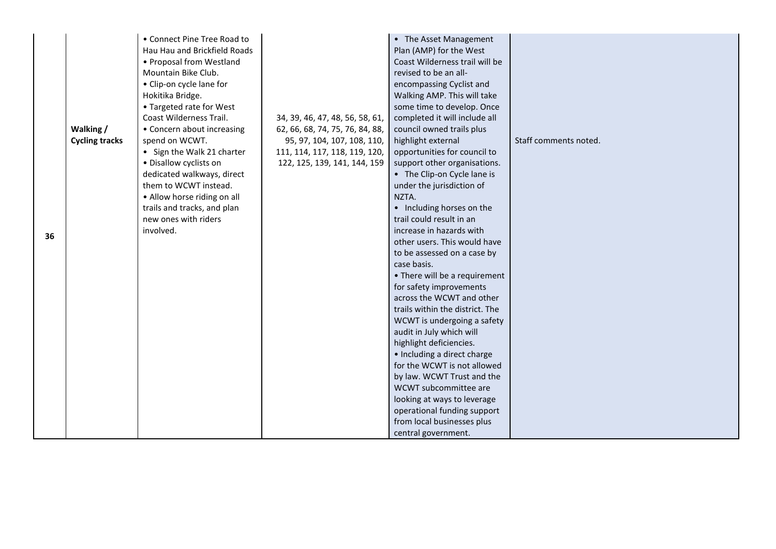|    | Walking /<br><b>Cycling tracks</b> | • Connect Pine Tree Road to<br>Hau Hau and Brickfield Roads<br>• Proposal from Westland<br>Mountain Bike Club.<br>• Clip-on cycle lane for<br>Hokitika Bridge.<br>• Targeted rate for West<br>Coast Wilderness Trail.<br>• Concern about increasing<br>spend on WCWT. | 34, 39, 46, 47, 48, 56, 58, 61,<br>62, 66, 68, 74, 75, 76, 84, 88,<br>95, 97, 104, 107, 108, 110, | • The Asset Management<br>Plan (AMP) for the West<br>Coast Wilderness trail will be<br>revised to be an all-<br>encompassing Cyclist and<br>Walking AMP. This will take<br>some time to develop. Once<br>completed it will include all<br>council owned trails plus<br>highlight external | Staff comments noted. |
|----|------------------------------------|-----------------------------------------------------------------------------------------------------------------------------------------------------------------------------------------------------------------------------------------------------------------------|---------------------------------------------------------------------------------------------------|-------------------------------------------------------------------------------------------------------------------------------------------------------------------------------------------------------------------------------------------------------------------------------------------|-----------------------|
|    |                                    | • Sign the Walk 21 charter<br>• Disallow cyclists on                                                                                                                                                                                                                  | 111, 114, 117, 118, 119, 120,<br>122, 125, 139, 141, 144, 159                                     | opportunities for council to<br>support other organisations.                                                                                                                                                                                                                              |                       |
|    |                                    | dedicated walkways, direct                                                                                                                                                                                                                                            |                                                                                                   | • The Clip-on Cycle lane is                                                                                                                                                                                                                                                               |                       |
|    |                                    | them to WCWT instead.                                                                                                                                                                                                                                                 |                                                                                                   | under the jurisdiction of                                                                                                                                                                                                                                                                 |                       |
|    |                                    | • Allow horse riding on all                                                                                                                                                                                                                                           |                                                                                                   | NZTA.                                                                                                                                                                                                                                                                                     |                       |
|    |                                    | trails and tracks, and plan                                                                                                                                                                                                                                           |                                                                                                   | • Including horses on the                                                                                                                                                                                                                                                                 |                       |
|    |                                    | new ones with riders                                                                                                                                                                                                                                                  |                                                                                                   | trail could result in an                                                                                                                                                                                                                                                                  |                       |
| 36 |                                    | involved.                                                                                                                                                                                                                                                             |                                                                                                   | increase in hazards with                                                                                                                                                                                                                                                                  |                       |
|    |                                    |                                                                                                                                                                                                                                                                       |                                                                                                   | other users. This would have                                                                                                                                                                                                                                                              |                       |
|    |                                    |                                                                                                                                                                                                                                                                       |                                                                                                   | to be assessed on a case by                                                                                                                                                                                                                                                               |                       |
|    |                                    |                                                                                                                                                                                                                                                                       |                                                                                                   | case basis.                                                                                                                                                                                                                                                                               |                       |
|    |                                    |                                                                                                                                                                                                                                                                       |                                                                                                   | • There will be a requirement                                                                                                                                                                                                                                                             |                       |
|    |                                    |                                                                                                                                                                                                                                                                       |                                                                                                   | for safety improvements                                                                                                                                                                                                                                                                   |                       |
|    |                                    |                                                                                                                                                                                                                                                                       |                                                                                                   | across the WCWT and other                                                                                                                                                                                                                                                                 |                       |
|    |                                    |                                                                                                                                                                                                                                                                       |                                                                                                   | trails within the district. The                                                                                                                                                                                                                                                           |                       |
|    |                                    |                                                                                                                                                                                                                                                                       |                                                                                                   | WCWT is undergoing a safety                                                                                                                                                                                                                                                               |                       |
|    |                                    |                                                                                                                                                                                                                                                                       |                                                                                                   | audit in July which will                                                                                                                                                                                                                                                                  |                       |
|    |                                    |                                                                                                                                                                                                                                                                       |                                                                                                   | highlight deficiencies.                                                                                                                                                                                                                                                                   |                       |
|    |                                    |                                                                                                                                                                                                                                                                       |                                                                                                   | • Including a direct charge<br>for the WCWT is not allowed                                                                                                                                                                                                                                |                       |
|    |                                    |                                                                                                                                                                                                                                                                       |                                                                                                   | by law. WCWT Trust and the                                                                                                                                                                                                                                                                |                       |
|    |                                    |                                                                                                                                                                                                                                                                       |                                                                                                   | WCWT subcommittee are                                                                                                                                                                                                                                                                     |                       |
|    |                                    |                                                                                                                                                                                                                                                                       |                                                                                                   | looking at ways to leverage                                                                                                                                                                                                                                                               |                       |
|    |                                    |                                                                                                                                                                                                                                                                       |                                                                                                   | operational funding support                                                                                                                                                                                                                                                               |                       |
|    |                                    |                                                                                                                                                                                                                                                                       |                                                                                                   | from local businesses plus                                                                                                                                                                                                                                                                |                       |
|    |                                    |                                                                                                                                                                                                                                                                       |                                                                                                   | central government.                                                                                                                                                                                                                                                                       |                       |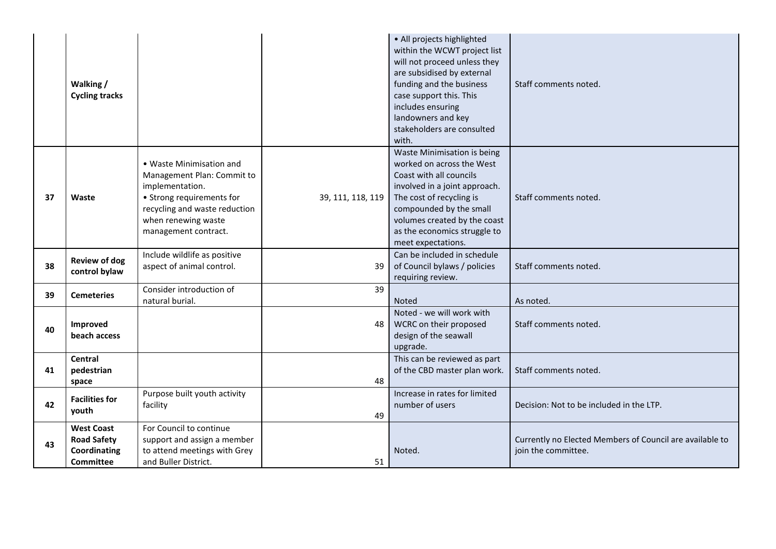|    | Walking /<br><b>Cycling tracks</b>                                          |                                                                                                                                                                                        |                   | • All projects highlighted<br>within the WCWT project list<br>will not proceed unless they<br>are subsidised by external<br>funding and the business<br>case support this. This<br>includes ensuring<br>landowners and key<br>stakeholders are consulted<br>with. | Staff comments noted.                                                           |
|----|-----------------------------------------------------------------------------|----------------------------------------------------------------------------------------------------------------------------------------------------------------------------------------|-------------------|-------------------------------------------------------------------------------------------------------------------------------------------------------------------------------------------------------------------------------------------------------------------|---------------------------------------------------------------------------------|
| 37 | Waste                                                                       | • Waste Minimisation and<br>Management Plan: Commit to<br>implementation.<br>• Strong requirements for<br>recycling and waste reduction<br>when renewing waste<br>management contract. | 39, 111, 118, 119 | Waste Minimisation is being<br>worked on across the West<br>Coast with all councils<br>involved in a joint approach.<br>The cost of recycling is<br>compounded by the small<br>volumes created by the coast<br>as the economics struggle to<br>meet expectations. | Staff comments noted.                                                           |
| 38 | <b>Review of dog</b><br>control bylaw                                       | Include wildlife as positive<br>aspect of animal control.                                                                                                                              | 39                | Can be included in schedule<br>of Council bylaws / policies<br>requiring review.                                                                                                                                                                                  | Staff comments noted.                                                           |
| 39 | <b>Cemeteries</b>                                                           | Consider introduction of<br>natural burial.                                                                                                                                            | 39                | <b>Noted</b>                                                                                                                                                                                                                                                      | As noted.                                                                       |
| 40 | Improved<br>beach access                                                    |                                                                                                                                                                                        | 48                | Noted - we will work with<br>WCRC on their proposed<br>design of the seawall<br>upgrade.                                                                                                                                                                          | Staff comments noted.                                                           |
| 41 | <b>Central</b><br>pedestrian<br>space                                       |                                                                                                                                                                                        | 48                | This can be reviewed as part<br>of the CBD master plan work.                                                                                                                                                                                                      | Staff comments noted.                                                           |
| 42 | <b>Facilities for</b><br>youth                                              | Purpose built youth activity<br>facility                                                                                                                                               | 49                | Increase in rates for limited<br>number of users                                                                                                                                                                                                                  | Decision: Not to be included in the LTP.                                        |
| 43 | <b>West Coast</b><br><b>Road Safety</b><br>Coordinating<br><b>Committee</b> | For Council to continue<br>support and assign a member<br>to attend meetings with Grey<br>and Buller District.                                                                         | 51                | Noted.                                                                                                                                                                                                                                                            | Currently no Elected Members of Council are available to<br>join the committee. |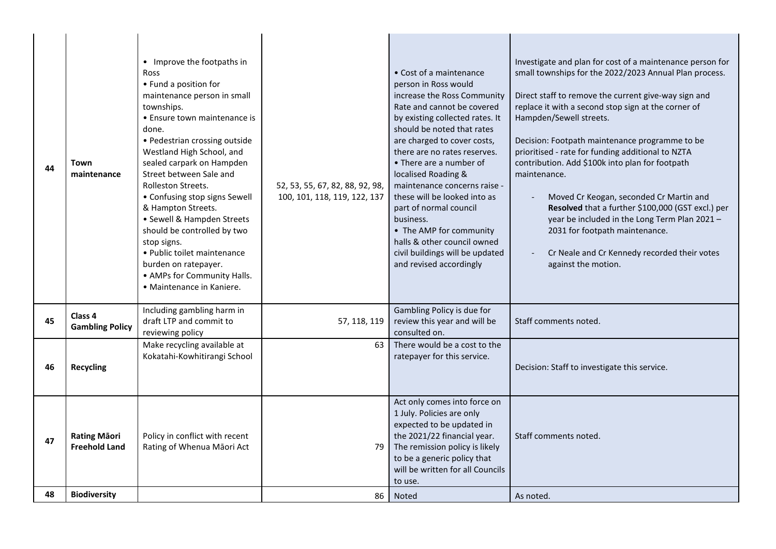| 44 | Town<br>maintenance                         | • Improve the footpaths in<br>Ross<br>• Fund a position for<br>maintenance person in small<br>townships.<br>• Ensure town maintenance is<br>done.<br>• Pedestrian crossing outside<br>Westland High School, and<br>sealed carpark on Hampden<br>Street between Sale and<br>Rolleston Streets.<br>• Confusing stop signs Sewell<br>& Hampton Streets.<br>• Sewell & Hampden Streets<br>should be controlled by two<br>stop signs.<br>· Public toilet maintenance<br>burden on ratepayer.<br>• AMPs for Community Halls.<br>• Maintenance in Kaniere. | 52, 53, 55, 67, 82, 88, 92, 98,<br>100, 101, 118, 119, 122, 137 | • Cost of a maintenance<br>person in Ross would<br>increase the Ross Community<br>Rate and cannot be covered<br>by existing collected rates. It<br>should be noted that rates<br>are charged to cover costs,<br>there are no rates reserves.<br>• There are a number of<br>localised Roading &<br>maintenance concerns raise -<br>these will be looked into as<br>part of normal council<br>business.<br>• The AMP for community<br>halls & other council owned<br>civil buildings will be updated<br>and revised accordingly | Investigate and plan for cost of a maintenance person for<br>small townships for the 2022/2023 Annual Plan process.<br>Direct staff to remove the current give-way sign and<br>replace it with a second stop sign at the corner of<br>Hampden/Sewell streets.<br>Decision: Footpath maintenance programme to be<br>prioritised - rate for funding additional to NZTA<br>contribution. Add \$100k into plan for footpath<br>maintenance.<br>Moved Cr Keogan, seconded Cr Martin and<br>Resolved that a further \$100,000 (GST excl.) per<br>year be included in the Long Term Plan 2021 -<br>2031 for footpath maintenance.<br>Cr Neale and Cr Kennedy recorded their votes<br>against the motion. |
|----|---------------------------------------------|-----------------------------------------------------------------------------------------------------------------------------------------------------------------------------------------------------------------------------------------------------------------------------------------------------------------------------------------------------------------------------------------------------------------------------------------------------------------------------------------------------------------------------------------------------|-----------------------------------------------------------------|-------------------------------------------------------------------------------------------------------------------------------------------------------------------------------------------------------------------------------------------------------------------------------------------------------------------------------------------------------------------------------------------------------------------------------------------------------------------------------------------------------------------------------|---------------------------------------------------------------------------------------------------------------------------------------------------------------------------------------------------------------------------------------------------------------------------------------------------------------------------------------------------------------------------------------------------------------------------------------------------------------------------------------------------------------------------------------------------------------------------------------------------------------------------------------------------------------------------------------------------|
| 45 | Class 4<br><b>Gambling Policy</b>           | Including gambling harm in<br>draft LTP and commit to<br>reviewing policy                                                                                                                                                                                                                                                                                                                                                                                                                                                                           | 57, 118, 119                                                    | Gambling Policy is due for<br>review this year and will be<br>consulted on.                                                                                                                                                                                                                                                                                                                                                                                                                                                   | Staff comments noted.                                                                                                                                                                                                                                                                                                                                                                                                                                                                                                                                                                                                                                                                             |
| 46 | <b>Recycling</b>                            | Make recycling available at<br>Kokatahi-Kowhitirangi School                                                                                                                                                                                                                                                                                                                                                                                                                                                                                         | 63                                                              | There would be a cost to the<br>ratepayer for this service.                                                                                                                                                                                                                                                                                                                                                                                                                                                                   | Decision: Staff to investigate this service.                                                                                                                                                                                                                                                                                                                                                                                                                                                                                                                                                                                                                                                      |
| 47 | <b>Rating Māori</b><br><b>Freehold Land</b> | Policy in conflict with recent<br>Rating of Whenua Māori Act                                                                                                                                                                                                                                                                                                                                                                                                                                                                                        | 79                                                              | Act only comes into force on<br>1 July. Policies are only<br>expected to be updated in<br>the 2021/22 financial year.<br>The remission policy is likely<br>to be a generic policy that<br>will be written for all Councils<br>to use.                                                                                                                                                                                                                                                                                         | Staff comments noted.                                                                                                                                                                                                                                                                                                                                                                                                                                                                                                                                                                                                                                                                             |
| 48 | <b>Biodiversity</b>                         |                                                                                                                                                                                                                                                                                                                                                                                                                                                                                                                                                     | 86                                                              | <b>Noted</b>                                                                                                                                                                                                                                                                                                                                                                                                                                                                                                                  | As noted.                                                                                                                                                                                                                                                                                                                                                                                                                                                                                                                                                                                                                                                                                         |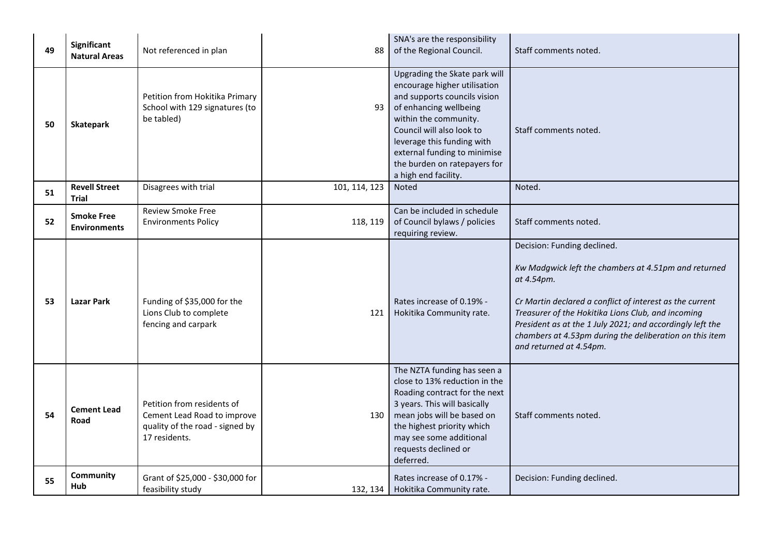| 49 | Significant<br><b>Natural Areas</b>      | Not referenced in plan                                                                                        | 88            | SNA's are the responsibility<br>of the Regional Council.                                                                                                                                                                                                                                            | Staff comments noted.                                                                                                                                                                                                                                                                                                                                                  |
|----|------------------------------------------|---------------------------------------------------------------------------------------------------------------|---------------|-----------------------------------------------------------------------------------------------------------------------------------------------------------------------------------------------------------------------------------------------------------------------------------------------------|------------------------------------------------------------------------------------------------------------------------------------------------------------------------------------------------------------------------------------------------------------------------------------------------------------------------------------------------------------------------|
| 50 | Skatepark                                | Petition from Hokitika Primary<br>School with 129 signatures (to<br>be tabled)                                | 93            | Upgrading the Skate park will<br>encourage higher utilisation<br>and supports councils vision<br>of enhancing wellbeing<br>within the community.<br>Council will also look to<br>leverage this funding with<br>external funding to minimise<br>the burden on ratepayers for<br>a high end facility. | Staff comments noted.                                                                                                                                                                                                                                                                                                                                                  |
| 51 | <b>Revell Street</b><br><b>Trial</b>     | Disagrees with trial                                                                                          | 101, 114, 123 | <b>Noted</b>                                                                                                                                                                                                                                                                                        | Noted.                                                                                                                                                                                                                                                                                                                                                                 |
| 52 | <b>Smoke Free</b><br><b>Environments</b> | <b>Review Smoke Free</b><br><b>Environments Policy</b>                                                        | 118, 119      | Can be included in schedule<br>of Council bylaws / policies<br>requiring review.                                                                                                                                                                                                                    | Staff comments noted.                                                                                                                                                                                                                                                                                                                                                  |
| 53 | <b>Lazar Park</b>                        | Funding of \$35,000 for the<br>Lions Club to complete<br>fencing and carpark                                  | 121           | Rates increase of 0.19% -<br>Hokitika Community rate.                                                                                                                                                                                                                                               | Decision: Funding declined.<br>Kw Madgwick left the chambers at 4.51pm and returned<br>at 4.54pm.<br>Cr Martin declared a conflict of interest as the current<br>Treasurer of the Hokitika Lions Club, and incoming<br>President as at the 1 July 2021; and accordingly left the<br>chambers at 4.53pm during the deliberation on this item<br>and returned at 4.54pm. |
| 54 | <b>Cement Lead</b><br>Road               | Petition from residents of<br>Cement Lead Road to improve<br>quality of the road - signed by<br>17 residents. | 130           | The NZTA funding has seen a<br>close to 13% reduction in the<br>Roading contract for the next<br>3 years. This will basically<br>mean jobs will be based on<br>the highest priority which<br>may see some additional<br>requests declined or<br>deferred.                                           | Staff comments noted.                                                                                                                                                                                                                                                                                                                                                  |
| 55 | Community<br>Hub                         | Grant of \$25,000 - \$30,000 for<br>feasibility study                                                         |               | Rates increase of 0.17% -<br>132, 134   Hokitika Community rate.                                                                                                                                                                                                                                    | Decision: Funding declined.                                                                                                                                                                                                                                                                                                                                            |